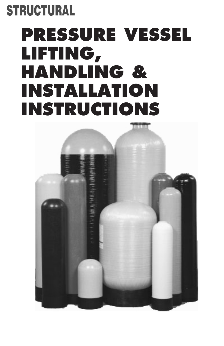### **STRUCTURAL**

## **PRESSURE VESSEL LIFTING, HANDLING & INSTALLATION INSTRUCTIONS**

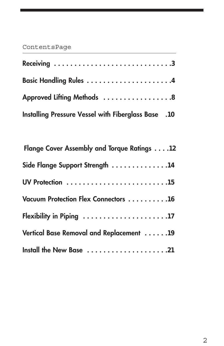#### ContentsPage

| Basic Handling Rules 4                              |  |
|-----------------------------------------------------|--|
| Approved Lifting Methods  8                         |  |
| 10. Installing Pressure Vessel with Fiberglass Base |  |

| Flange Cover Assembly and Torque Ratings 12     |
|-------------------------------------------------|
| Side Flange Support Strength 14                 |
|                                                 |
| Vacuum Protection Flex Connectors 16            |
|                                                 |
| <b>Vertical Base Removal and Replacement 19</b> |
| Install the New Base 21                         |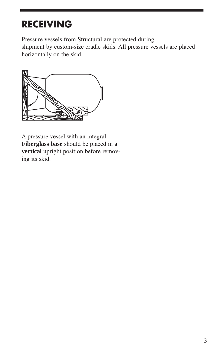#### **RECEIVING**

Pressure vessels from Structural are protected during shipment by custom-size cradle skids. All pressure vessels are placed horizontally on the skid.



A pressure vessel with an integral **Fiberglass base** vertical upright position before removing its skid.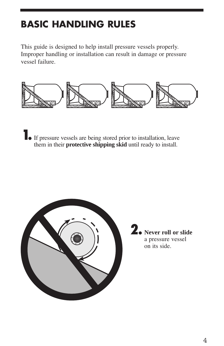#### **BASIC HANDLING RULES**

This guide is designed to help install pressure vessels properly. Improper handling or installation can result in damage or pressure vessel failure.



1. If pressure vessels are being stored prior to installation, leave them in their **protective shipping skid** until ready to install.



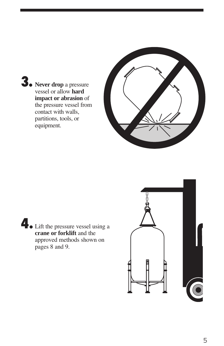3. Never drop a pressure vessel or allow **hard** impact or abrasion of the pressure vessel from contact with walls, partitions, tools, or equipment.



Lift the pressure vessel using a crane or forklift and the approved methods shown on pages 8 and 9.

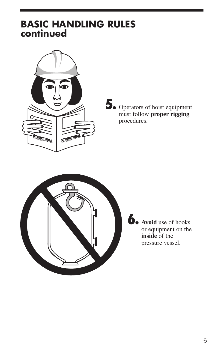#### **BASIC HANDLING RULES** continued



5. Operators of hoist equipment<br>must follow proper rigging procedures.



b. Avoid use of hooks or equipment on the **inside** of the pressure vessel.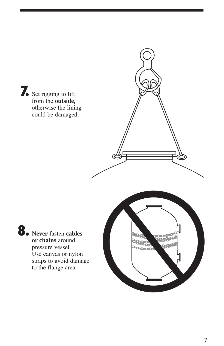Set rigging to lift from the outside, otherwise the lining could be damaged.

> كوي

**8.** Never fasten cables or chains around pressure vessel. Use canvas or nylon straps to avoid damage to the flange area.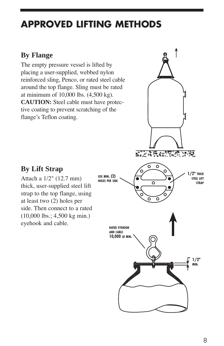#### **APPROVED LIFTING METHODS**

#### **By Flange**

The empty pressure vessel is lifted by placing a user-supplied, webbed nylon reinforced sling, Penco, or rated steel cable around the top flange. Sling must be rated at minimum of 10,000 lbs. (4,500 kg). **CAUTION:** Steel cable must have protective coating to prevent scratching of the flange's Teflon coating.

# 医皮质囊瘤囊瘤 建硬

#### **By Lift Strap**

Attach a 1/2" (12.7 mm) thick, user-supplied steel lift strap to the top flange, using at least two (2) holes per side. Then connect to a rated  $(10,000 \text{ lbs.}; 4,500 \text{ kg min.})$ eyehook and cable.

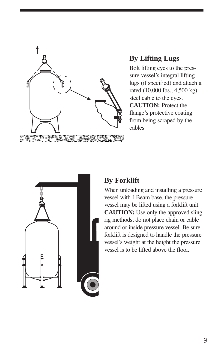

#### **By Lifting Lugs**

Bolt lifting eyes to the pressure vessel's integral lifting lugs (if specified) and attach a rated (10,000 lbs.; 4,500 kg) steel cable to the eyes. **CAUTION:** Protect the flange's protective coating from being scraped by the cables.



#### **By Forklift**

When unloading and installing a pressure vessel with I-Beam base, the pressure vessel may be lifted using a forklift unit. **CAUTION:** Use only the approved sling rig methods; do not place chain or cable around or inside pressure vessel. Be sure forklift is designed to handle the pressure vessel's weight at the height the pressure vessel is to be lifted above the floor.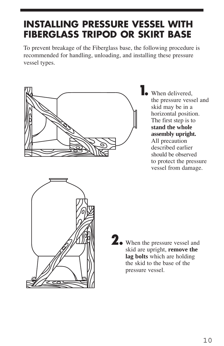#### **INSTALLING PRESSURE VESSEL WITH FIBERGLASS TRIPOD OR SKIRT BASE**

To prevent breakage of the Fiberglass base, the following procedure is recommended for handling, unloading, and installing these pressure vessel types.



**1.** When delivered, the pressure vessel and skid may be in a horizontal position. The first step is to **stand the whole assembly upright.**  All precaution described earlier should be observed to protect the pressure vessel from damage.



2. When the pressure vessel and skid are upright, **remove the** lag bolts which are holding the skid to the base of the pressure vessel.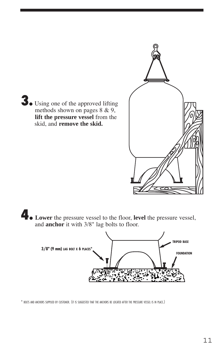

**1. Lower** the pressure vessel to the floor, level the pressure vessel, and **anchor** it with 3/8" lag bolts to floor.



\* BOLTS AND ANCHORS SUPPLIED BY CUSTOMER. (IT IS SUGGESTED THAT THE ANCHORS BE LOCATED AFTER THE PRESSURE VESSEL IS IN PLACE.)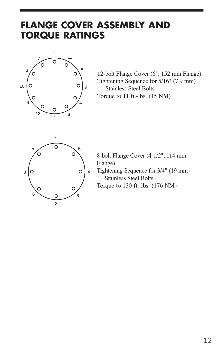#### **FLANGE COVER ASSEMBLY AND TORQUE RATINGS**



12-bolt Flange Cover (6", 152 mm Flange) Tightening Sequence for 5/16" (7.9 mm) **Stainless Steel Bolts** Torque to 11 ft.-lbs.  $(15 \text{ NM})$ 



8-bolt Flange Cover (4-1/2", 114 mm Flange) Tightening Sequence for 3/4" (19 mm) **Stainless Steel Bolts** Torque to 130 ft.-lbs. (176 NM)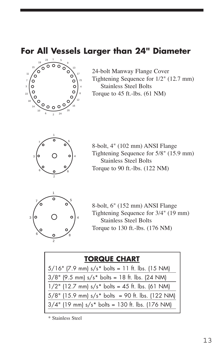#### **For All Vessels Larger than 24" Diameter**



24-bolt Manway Flange Cover Tightening Sequence for  $1/2$ " (12.7 mm) Stainless Steel Bolts Torque to ft.-lbs.  $(61 \text{ NM})$ 



8-bolt, 4" (102 mm) ANSI Flange Tightening Sequence for  $5/8$ " (15.9 mm) Stainless Steel Bolts Torque to ft.-lbs.  $(122 \text{ NM})$ 



8-bolt, 6" (152 mm) ANSI Flange Tightening Sequence for  $3/4$ " (19 mm) Stainless Steel Bolts Torque to ft.-lbs.  $(176 \text{ NM})$ 

| <b>TORQUE CHART</b>                                 |
|-----------------------------------------------------|
| $5/16$ " (7.9 mm) s/s* bolts = 11 ft. lbs. (15 NM)  |
| $3/8$ " (9.5 mm) s/s* bolts = 18 ft. lbs. (24 NM)   |
| $1/2$ " (12.7 mm) s/s* bolts = 45 ft. lbs. (61 NM)  |
| $5/8$ " (15.9 mm) s/s* bolts = 90 ft. lbs. (122 NM) |
| $3/4$ " (19 mm) s/s* bolts = 130 ft. lbs. (176 NM)  |

\* Stainless Steel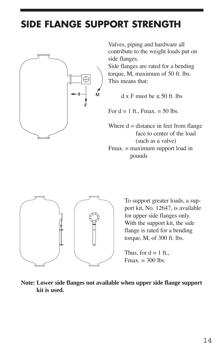#### **SIDE FLANGE SUPPORT STRENGTH**



Valves, piping and hardware all contribute to the weight loads put on side flanges.

Side flanges are rated for a bending torque, M, maximum of 50 ft. lbs. This means that:

 $dx$  F must be  $\leq 50$  ft lbs

For  $d = 1$  ft., Fmax.  $= 50$  lbs.

Where  $d = distance$  in feet from flange face to center of the load (such as a valve)

Fmax. = maximum support load in pounds



To support greater loads, a support kit, No. 12647, is available for upper side flanges only. With the support kit, the side flange is rated for a bending torque, M, of  $300$  ft. lbs.

Thus, for  $d = 1$  ft.,  $Fmax. = 300$  lbs.

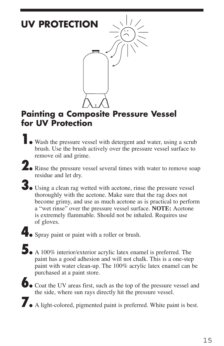

#### **Painting a Composite Pressure Vessel for UV Protection**

- **1.** Wash the pressure vessel with detergent and water, using a scrub brush. Use the brush actively over the pressure vessel surface to remove oil and grime.
- 2. Rinse the pressure vessel several times with water to remove soap residue and let dry.
- 3. Using a clean rag wetted with acetone, rinse the pressure vessel thoroughly with the acetone. Make sure that the rag does not become grimy, and use as much acetone as is practical to perform a "wet rinse" over the pressure vessel surface. NOTE: Acetone is extremely flammable. Should not be inhaled. Requires use of gloves.
- **4.** Spray paint or paint with a roller or brush.
- 5. A 100% interior/exterior acrylic latex enamel is preferred. The paint has a good adhesion and will not chalk. This is a one-step paint with water clean-up. The 100% acrylic latex enamel can be purchased at a paint store.
- $\bullet$  Coat the UV areas first, such as the top of the pressure vessel and the side, where sun rays directly hit the pressure vessel.
- A light-colored, pigmented paint is preferred. White paint is best.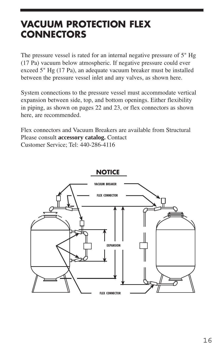#### **VACUUM PROTECTION FLEX CONNECTORS**

The pressure vessel is rated for an internal negative pressure of  $5$ " Hg (17 Pa) vacuum below atmospheric. If negative pressure could ever exceed 5" Hg (17 Pa), an adequate vacuum breaker must be installed between the pressure vessel inlet and any valves, as shown here.

System connections to the pressure vessel must accommodate vertical expansion between side, top, and bottom openings. Either flexibility in piping, as shown on pages  $22$  and  $23$ , or flex connectors as shown here, are recommended.

Flex connectors and Vacuum Breakers are available from Structural Please consult accessory catalog. Contact Customer Service; Tel: 440-286-4116

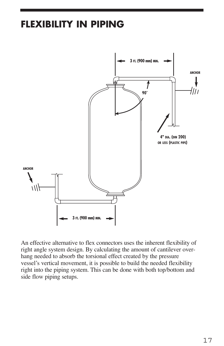#### **FLEXIBILITY IN PIPING**



An effective alternative to flex connectors uses the inherent flexibility of right angle system design. By calculating the amount of cantilever overhang needed to absorb the torsional effect created by the pressure vessel's vertical movement, it is possible to build the needed flexibility right into the piping system. This can be done with both top/bottom and side flow piping setups.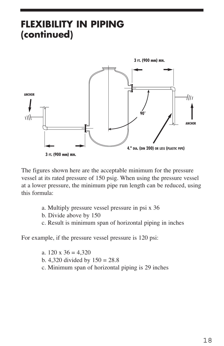#### **FLEXIBILITY IN PIPING** (continued)



The figures shown here are the acceptable minimum for the pressure vessel at its rated pressure of 150 psig. When using the pressure vessel at a lower pressure, the minimum pipe run length can be reduced, using this formula:

- a. Multiply pressure vessel pressure in psi x 36
- b. Divide above by 150
- c. Result is minimum span of horizontal piping in inches

For example, if the pressure vessel pressure is 120 psi:

a.  $120 \times 36 = 4,320$ b. 4,320 divided by  $150 = 28.8$ c. Minimum span of horizontal piping is 29 inches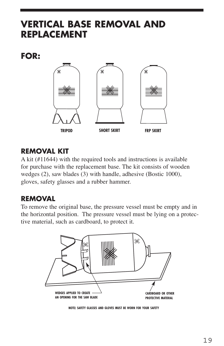#### **VERTICAL BASE REMOVAL AND REPLACEMENT**

**FOR:**



#### **REMOVAL KIT**

A kit  $(\text{\#11644})$  with the required tools and instructions is available for purchase with the replacement base. The kit consists of wooden wedges  $(2)$ , saw blades  $(3)$  with handle, adhesive (Bostic 1000), gloves, safety glasses and a rubber hammer.

#### **REMOVAL**

To remove the original base, the pressure vessel must be empty and in the horizontal position. The pressure vessel must be lying on a protective material, such as cardboard, to protect it.



**NOTE: SAFETY GLASSES AND GLOVES MUST BE WORN FOR YOUR SAFETY**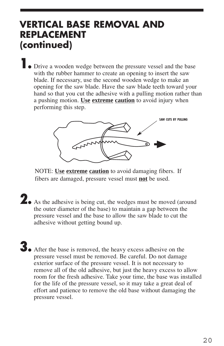#### **VERTICAL BASE REMOVAL AND REPLACEMENT (continued)**

**•** Drive a wooden wedge between the pressure vessel and the base with the rubber hammer to create an opening to insert the saw blade. If necessary, use the second wooden wedge to make an opening for the saw blade. Have the saw blade teeth toward your hand so that you cut the adhesive with a pulling motion rather than a pushing motion. Use extreme caution to avoid injury when performing this step.



NOTE: Use extreme caution to avoid damaging fibers. If fibers are damaged, pressure vessel must **not** be used.

- As the adhesive is being cut, the wedges must be moved (around the outer diameter of the base) to maintain a gap between the pressure vessel and the base to allow the saw blade to cut the adhesive without getting bound up.
- 3. After the base is removed, the heavy excess adhesive on the pressure vessel must be removed. Be careful. Do not damage exterior surface of the pressure vessel. It is not necessary to remove all of the old adhesive, but just the heavy excess to allow room for the fresh adhesive. Take your time, the base was installed for the life of the pressure vessel, so it may take a great deal of effort and patience to remove the old base without damaging the pressure vessel.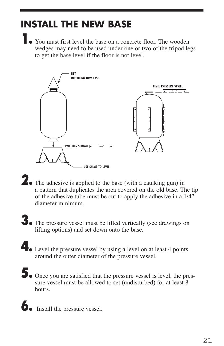#### **INSTALL THE NEW BASE**

• You must first level the base on a concrete floor. The wooden wedges may need to be used under one or two of the tripod legs to get the base level if the floor is not level.



- **2.** The adhesive is applied to the base (with a caulking gun) in a pattern that duplicates the area covered on the old base. The tip of the adhesive tube must be cut to apply the adhesive in a 1/4" diameter minimum
- 3. The pressure vessel must be lifted vertically (see drawings on lifting options) and set down onto the base.
- Level the pressure vessel by using a level on at least 4 points around the outer diameter of the pressure vessel.
- $\sum$  Once you are satisfied that the pressure vessel is level, the pressure vessel must be allowed to set (undisturbed) for at least 8 hours.
- **b**. Install the pressure vessel.